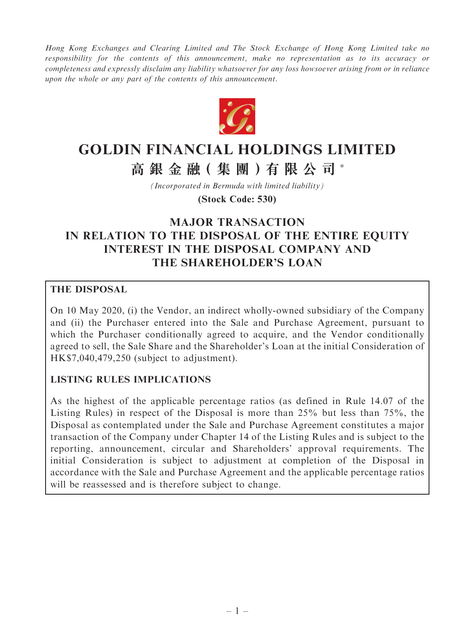Hong Kong Exchanges and Clearing Limited and The Stock Exchange of Hong Kong Limited take no responsibility for the contents of this announcement, make no representation as to its accuracy or completeness and expressly disclaim any liability whatsoever for any loss howsoever arising from or in reliance upon the whole or any part of the contents of this announcement.



# **GOLDIN FINANCIAL HOLDINGS LIMITED**

**高 銀 金 融( 集 團 )有 限 公 司** \*

*(Incorporated in Bermuda with limited liability)*

**(Stock Code: 530)**

## MAJOR TRANSACTION IN RELATION TO THE DISPOSAL OF THE ENTIRE EQUITY INTEREST IN THE DISPOSAL COMPANY AND THE SHAREHOLDER'S LOAN

#### THE DISPOSAL

On 10 May 2020, (i) the Vendor, an indirect wholly-owned subsidiary of the Company and (ii) the Purchaser entered into the Sale and Purchase Agreement, pursuant to which the Purchaser conditionally agreed to acquire, and the Vendor conditionally agreed to sell, the Sale Share and the Shareholder's Loan at the initial Consideration of HK\$7,040,479,250 (subject to adjustment).

#### LISTING RULES IMPLICATIONS

As the highest of the applicable percentage ratios (as defined in Rule 14.07 of the Listing Rules) in respect of the Disposal is more than 25% but less than 75%, the Disposal as contemplated under the Sale and Purchase Agreement constitutes a major transaction of the Company under Chapter 14 of the Listing Rules and is subject to the reporting, announcement, circular and Shareholders' approval requirements. The initial Consideration is subject to adjustment at completion of the Disposal in accordance with the Sale and Purchase Agreement and the applicable percentage ratios will be reassessed and is therefore subject to change.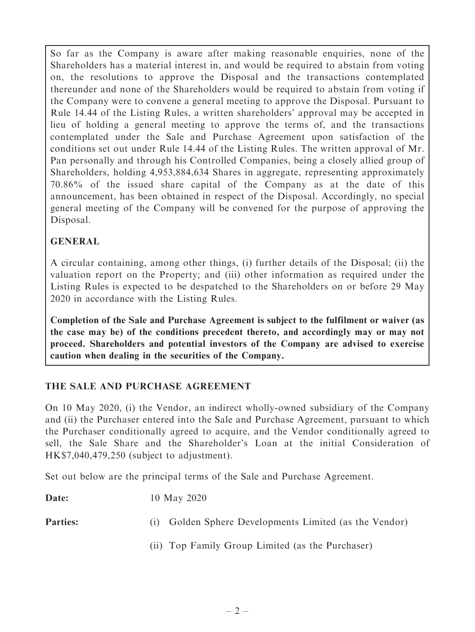So far as the Company is aware after making reasonable enquiries, none of the Shareholders has a material interest in, and would be required to abstain from voting on, the resolutions to approve the Disposal and the transactions contemplated thereunder and none of the Shareholders would be required to abstain from voting if the Company were to convene a general meeting to approve the Disposal. Pursuant to Rule 14.44 of the Listing Rules, a written shareholders' approval may be accepted in lieu of holding a general meeting to approve the terms of, and the transactions contemplated under the Sale and Purchase Agreement upon satisfaction of the conditions set out under Rule 14.44 of the Listing Rules. The written approval of Mr. Pan personally and through his Controlled Companies, being a closely allied group of Shareholders, holding 4,953,884,634 Shares in aggregate, representing approximately 70.86% of the issued share capital of the Company as at the date of this announcement, has been obtained in respect of the Disposal. Accordingly, no special general meeting of the Company will be convened for the purpose of approving the Disposal.

#### GENERAL

A circular containing, among other things, (i) further details of the Disposal; (ii) the valuation report on the Property; and (iii) other information as required under the Listing Rules is expected to be despatched to the Shareholders on or before 29 May 2020 in accordance with the Listing Rules.

Completion of the Sale and Purchase Agreement is subject to the fulfilment or waiver (as the case may be) of the conditions precedent thereto, and accordingly may or may not proceed. Shareholders and potential investors of the Company are advised to exercise caution when dealing in the securities of the Company.

## THE SALE AND PURCHASE AGREEMENT

On 10 May 2020, (i) the Vendor, an indirect wholly-owned subsidiary of the Company and (ii) the Purchaser entered into the Sale and Purchase Agreement, pursuant to which the Purchaser conditionally agreed to acquire, and the Vendor conditionally agreed to sell, the Sale Share and the Shareholder's Loan at the initial Consideration of HK\$7,040,479,250 (subject to adjustment).

Set out below are the principal terms of the Sale and Purchase Agreement.

**Date:** 10 May 2020

Parties: (i) Golden Sphere Developments Limited (as the Vendor)

(ii) Top Family Group Limited (as the Purchaser)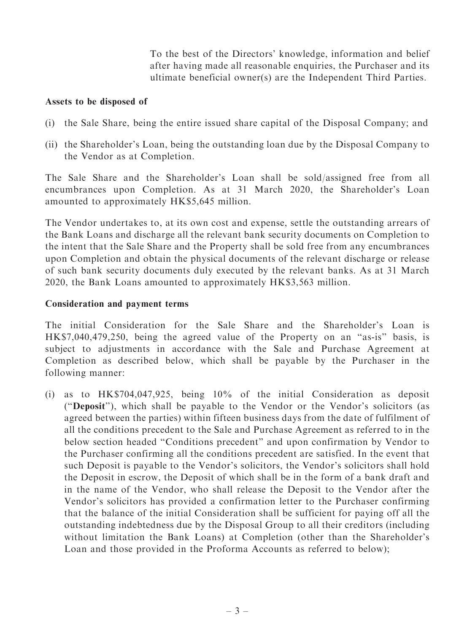To the best of the Directors' knowledge, information and belief after having made all reasonable enquiries, the Purchaser and its ultimate beneficial owner(s) are the Independent Third Parties.

#### Assets to be disposed of

- (i) the Sale Share, being the entire issued share capital of the Disposal Company; and
- (ii) the Shareholder's Loan, being the outstanding loan due by the Disposal Company to the Vendor as at Completion.

The Sale Share and the Shareholder's Loan shall be sold/assigned free from all encumbrances upon Completion. As at 31 March 2020, the Shareholder's Loan amounted to approximately HK\$5,645 million.

The Vendor undertakes to, at its own cost and expense, settle the outstanding arrears of the Bank Loans and discharge all the relevant bank security documents on Completion to the intent that the Sale Share and the Property shall be sold free from any encumbrances upon Completion and obtain the physical documents of the relevant discharge or release of such bank security documents duly executed by the relevant banks. As at 31 March 2020, the Bank Loans amounted to approximately HK\$3,563 million.

#### Consideration and payment terms

The initial Consideration for the Sale Share and the Shareholder's Loan is HK\$7,040,479,250, being the agreed value of the Property on an "as-is" basis, is subject to adjustments in accordance with the Sale and Purchase Agreement at Completion as described below, which shall be payable by the Purchaser in the following manner:

(i) as to HK\$704,047,925, being 10% of the initial Consideration as deposit (''Deposit''), which shall be payable to the Vendor or the Vendor's solicitors (as agreed between the parties) within fifteen business days from the date of fulfilment of all the conditions precedent to the Sale and Purchase Agreement as referred to in the below section headed ''Conditions precedent'' and upon confirmation by Vendor to the Purchaser confirming all the conditions precedent are satisfied. In the event that such Deposit is payable to the Vendor's solicitors, the Vendor's solicitors shall hold the Deposit in escrow, the Deposit of which shall be in the form of a bank draft and in the name of the Vendor, who shall release the Deposit to the Vendor after the Vendor's solicitors has provided a confirmation letter to the Purchaser confirming that the balance of the initial Consideration shall be sufficient for paying off all the outstanding indebtedness due by the Disposal Group to all their creditors (including without limitation the Bank Loans) at Completion (other than the Shareholder's Loan and those provided in the Proforma Accounts as referred to below);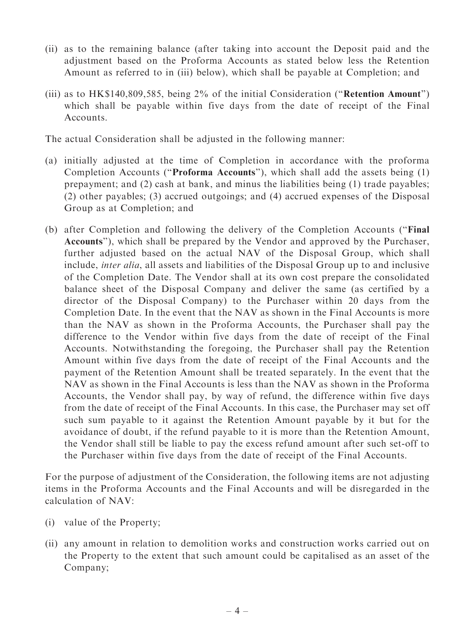- (ii) as to the remaining balance (after taking into account the Deposit paid and the adjustment based on the Proforma Accounts as stated below less the Retention Amount as referred to in (iii) below), which shall be payable at Completion; and
- (iii) as to HK\$140,809,585, being 2% of the initial Consideration (''Retention Amount'') which shall be payable within five days from the date of receipt of the Final Accounts.

The actual Consideration shall be adjusted in the following manner:

- (a) initially adjusted at the time of Completion in accordance with the proforma Completion Accounts (''Proforma Accounts''), which shall add the assets being (1) prepayment; and (2) cash at bank, and minus the liabilities being (1) trade payables; (2) other payables; (3) accrued outgoings; and (4) accrued expenses of the Disposal Group as at Completion; and
- (b) after Completion and following the delivery of the Completion Accounts (''Final Accounts''), which shall be prepared by the Vendor and approved by the Purchaser, further adjusted based on the actual NAV of the Disposal Group, which shall include, inter alia, all assets and liabilities of the Disposal Group up to and inclusive of the Completion Date. The Vendor shall at its own cost prepare the consolidated balance sheet of the Disposal Company and deliver the same (as certified by a director of the Disposal Company) to the Purchaser within 20 days from the Completion Date. In the event that the NAV as shown in the Final Accounts is more than the NAV as shown in the Proforma Accounts, the Purchaser shall pay the difference to the Vendor within five days from the date of receipt of the Final Accounts. Notwithstanding the foregoing, the Purchaser shall pay the Retention Amount within five days from the date of receipt of the Final Accounts and the payment of the Retention Amount shall be treated separately. In the event that the NAV as shown in the Final Accounts is less than the NAV as shown in the Proforma Accounts, the Vendor shall pay, by way of refund, the difference within five days from the date of receipt of the Final Accounts. In this case, the Purchaser may set off such sum payable to it against the Retention Amount payable by it but for the avoidance of doubt, if the refund payable to it is more than the Retention Amount, the Vendor shall still be liable to pay the excess refund amount after such set-off to the Purchaser within five days from the date of receipt of the Final Accounts.

For the purpose of adjustment of the Consideration, the following items are not adjusting items in the Proforma Accounts and the Final Accounts and will be disregarded in the calculation of NAV:

- (i) value of the Property;
- (ii) any amount in relation to demolition works and construction works carried out on the Property to the extent that such amount could be capitalised as an asset of the Company;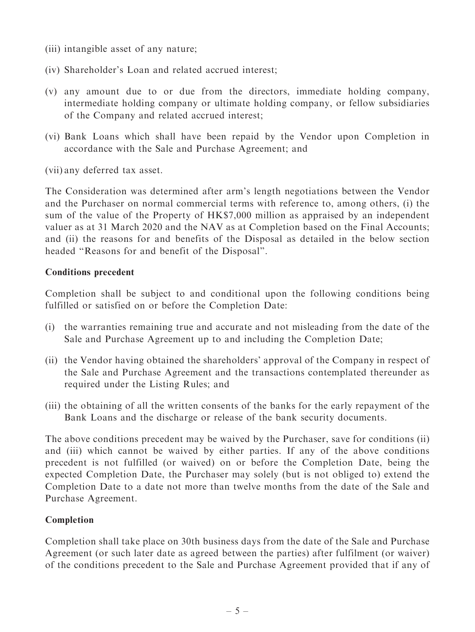- (iii) intangible asset of any nature;
- (iv) Shareholder's Loan and related accrued interest;
- (v) any amount due to or due from the directors, immediate holding company, intermediate holding company or ultimate holding company, or fellow subsidiaries of the Company and related accrued interest;
- (vi) Bank Loans which shall have been repaid by the Vendor upon Completion in accordance with the Sale and Purchase Agreement; and

(vii) any deferred tax asset.

The Consideration was determined after arm's length negotiations between the Vendor and the Purchaser on normal commercial terms with reference to, among others, (i) the sum of the value of the Property of HK\$7,000 million as appraised by an independent valuer as at 31 March 2020 and the NAV as at Completion based on the Final Accounts; and (ii) the reasons for and benefits of the Disposal as detailed in the below section headed ''Reasons for and benefit of the Disposal''.

#### Conditions precedent

Completion shall be subject to and conditional upon the following conditions being fulfilled or satisfied on or before the Completion Date:

- (i) the warranties remaining true and accurate and not misleading from the date of the Sale and Purchase Agreement up to and including the Completion Date;
- (ii) the Vendor having obtained the shareholders' approval of the Company in respect of the Sale and Purchase Agreement and the transactions contemplated thereunder as required under the Listing Rules; and
- (iii) the obtaining of all the written consents of the banks for the early repayment of the Bank Loans and the discharge or release of the bank security documents.

The above conditions precedent may be waived by the Purchaser, save for conditions (ii) and (iii) which cannot be waived by either parties. If any of the above conditions precedent is not fulfilled (or waived) on or before the Completion Date, being the expected Completion Date, the Purchaser may solely (but is not obliged to) extend the Completion Date to a date not more than twelve months from the date of the Sale and Purchase Agreement.

#### Completion

Completion shall take place on 30th business days from the date of the Sale and Purchase Agreement (or such later date as agreed between the parties) after fulfilment (or waiver) of the conditions precedent to the Sale and Purchase Agreement provided that if any of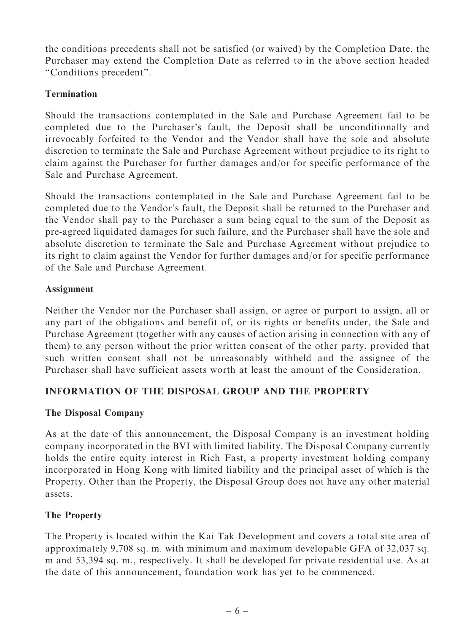the conditions precedents shall not be satisfied (or waived) by the Completion Date, the Purchaser may extend the Completion Date as referred to in the above section headed ''Conditions precedent''.

### Termination

Should the transactions contemplated in the Sale and Purchase Agreement fail to be completed due to the Purchaser's fault, the Deposit shall be unconditionally and irrevocably forfeited to the Vendor and the Vendor shall have the sole and absolute discretion to terminate the Sale and Purchase Agreement without prejudice to its right to claim against the Purchaser for further damages and/or for specific performance of the Sale and Purchase Agreement.

Should the transactions contemplated in the Sale and Purchase Agreement fail to be completed due to the Vendor's fault, the Deposit shall be returned to the Purchaser and the Vendor shall pay to the Purchaser a sum being equal to the sum of the Deposit as pre-agreed liquidated damages for such failure, and the Purchaser shall have the sole and absolute discretion to terminate the Sale and Purchase Agreement without prejudice to its right to claim against the Vendor for further damages and/or for specific performance of the Sale and Purchase Agreement.

### Assignment

Neither the Vendor nor the Purchaser shall assign, or agree or purport to assign, all or any part of the obligations and benefit of, or its rights or benefits under, the Sale and Purchase Agreement (together with any causes of action arising in connection with any of them) to any person without the prior written consent of the other party, provided that such written consent shall not be unreasonably withheld and the assignee of the Purchaser shall have sufficient assets worth at least the amount of the Consideration.

## INFORMATION OF THE DISPOSAL GROUP AND THE PROPERTY

#### The Disposal Company

As at the date of this announcement, the Disposal Company is an investment holding company incorporated in the BVI with limited liability. The Disposal Company currently holds the entire equity interest in Rich Fast, a property investment holding company incorporated in Hong Kong with limited liability and the principal asset of which is the Property. Other than the Property, the Disposal Group does not have any other material assets.

#### The Property

The Property is located within the Kai Tak Development and covers a total site area of approximately 9,708 sq. m. with minimum and maximum developable GFA of 32,037 sq. m and 53,394 sq. m., respectively. It shall be developed for private residential use. As at the date of this announcement, foundation work has yet to be commenced.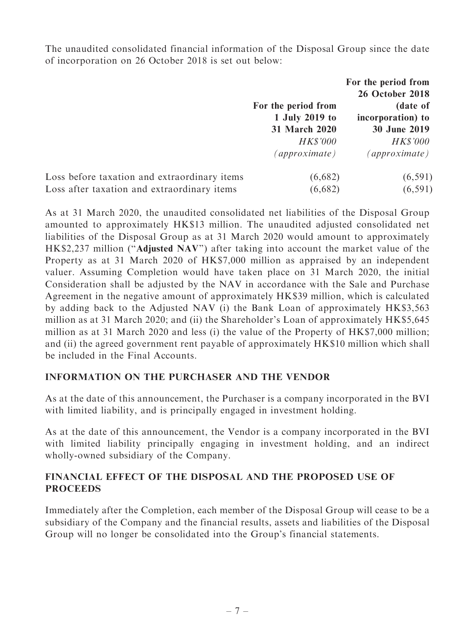The unaudited consolidated financial information of the Disposal Group since the date of incorporation on 26 October 2018 is set out below:

|                                              |                     | For the period from    |
|----------------------------------------------|---------------------|------------------------|
|                                              |                     | <b>26 October 2018</b> |
|                                              | For the period from | (date of               |
|                                              | 1 July 2019 to      | incorporation) to      |
|                                              | 31 March 2020       | 30 June 2019           |
|                                              | <b>HK\$'000</b>     | <b>HK\$'000</b>        |
|                                              | (approximate)       | (approximate)          |
| Loss before taxation and extraordinary items | (6,682)             | (6, 591)               |
| Loss after taxation and extraordinary items  | (6,682)             | (6, 591)               |

As at 31 March 2020, the unaudited consolidated net liabilities of the Disposal Group amounted to approximately HK\$13 million. The unaudited adjusted consolidated net liabilities of the Disposal Group as at 31 March 2020 would amount to approximately HK\$2,237 million ("Adjusted NAV") after taking into account the market value of the Property as at 31 March 2020 of HK\$7,000 million as appraised by an independent valuer. Assuming Completion would have taken place on 31 March 2020, the initial Consideration shall be adjusted by the NAV in accordance with the Sale and Purchase Agreement in the negative amount of approximately HK\$39 million, which is calculated by adding back to the Adjusted NAV (i) the Bank Loan of approximately HK\$3,563 million as at 31 March 2020; and (ii) the Shareholder's Loan of approximately HK\$5,645 million as at 31 March 2020 and less (i) the value of the Property of HK\$7,000 million; and (ii) the agreed government rent payable of approximately HK\$10 million which shall be included in the Final Accounts.

#### INFORMATION ON THE PURCHASER AND THE VENDOR

As at the date of this announcement, the Purchaser is a company incorporated in the BVI with limited liability, and is principally engaged in investment holding.

As at the date of this announcement, the Vendor is a company incorporated in the BVI with limited liability principally engaging in investment holding, and an indirect wholly-owned subsidiary of the Company.

#### FINANCIAL EFFECT OF THE DISPOSAL AND THE PROPOSED USE OF **PROCEEDS**

Immediately after the Completion, each member of the Disposal Group will cease to be a subsidiary of the Company and the financial results, assets and liabilities of the Disposal Group will no longer be consolidated into the Group's financial statements.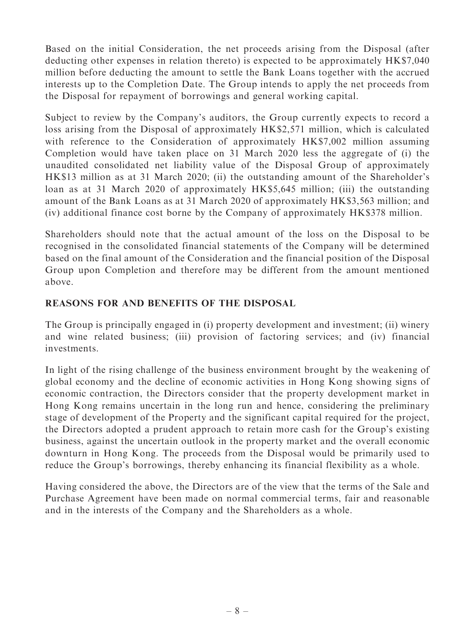Based on the initial Consideration, the net proceeds arising from the Disposal (after deducting other expenses in relation thereto) is expected to be approximately HK\$7,040 million before deducting the amount to settle the Bank Loans together with the accrued interests up to the Completion Date. The Group intends to apply the net proceeds from the Disposal for repayment of borrowings and general working capital.

Subject to review by the Company's auditors, the Group currently expects to record a loss arising from the Disposal of approximately HK\$2,571 million, which is calculated with reference to the Consideration of approximately HK\$7,002 million assuming Completion would have taken place on 31 March 2020 less the aggregate of (i) the unaudited consolidated net liability value of the Disposal Group of approximately HK\$13 million as at 31 March 2020; (ii) the outstanding amount of the Shareholder's loan as at 31 March 2020 of approximately HK\$5,645 million; (iii) the outstanding amount of the Bank Loans as at 31 March 2020 of approximately HK\$3,563 million; and (iv) additional finance cost borne by the Company of approximately HK\$378 million.

Shareholders should note that the actual amount of the loss on the Disposal to be recognised in the consolidated financial statements of the Company will be determined based on the final amount of the Consideration and the financial position of the Disposal Group upon Completion and therefore may be different from the amount mentioned above.

### REASONS FOR AND BENEFITS OF THE DISPOSAL

The Group is principally engaged in (i) property development and investment; (ii) winery and wine related business; (iii) provision of factoring services; and (iv) financial investments.

In light of the rising challenge of the business environment brought by the weakening of global economy and the decline of economic activities in Hong Kong showing signs of economic contraction, the Directors consider that the property development market in Hong Kong remains uncertain in the long run and hence, considering the preliminary stage of development of the Property and the significant capital required for the project, the Directors adopted a prudent approach to retain more cash for the Group's existing business, against the uncertain outlook in the property market and the overall economic downturn in Hong Kong. The proceeds from the Disposal would be primarily used to reduce the Group's borrowings, thereby enhancing its financial flexibility as a whole.

Having considered the above, the Directors are of the view that the terms of the Sale and Purchase Agreement have been made on normal commercial terms, fair and reasonable and in the interests of the Company and the Shareholders as a whole.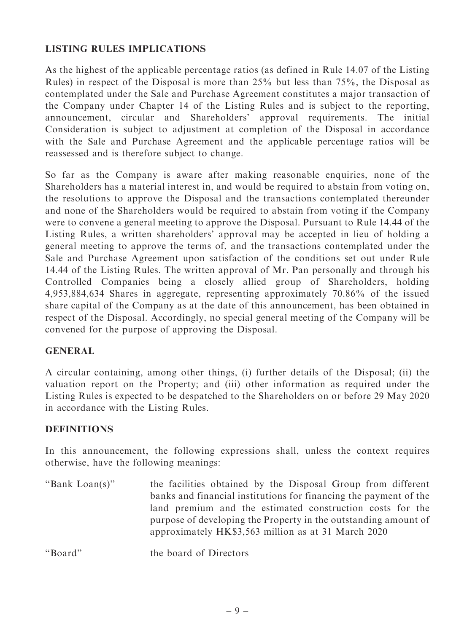#### LISTING RULES IMPLICATIONS

As the highest of the applicable percentage ratios (as defined in Rule 14.07 of the Listing Rules) in respect of the Disposal is more than 25% but less than 75%, the Disposal as contemplated under the Sale and Purchase Agreement constitutes a major transaction of the Company under Chapter 14 of the Listing Rules and is subject to the reporting, announcement, circular and Shareholders' approval requirements. The initial Consideration is subject to adjustment at completion of the Disposal in accordance with the Sale and Purchase Agreement and the applicable percentage ratios will be reassessed and is therefore subject to change.

So far as the Company is aware after making reasonable enquiries, none of the Shareholders has a material interest in, and would be required to abstain from voting on, the resolutions to approve the Disposal and the transactions contemplated thereunder and none of the Shareholders would be required to abstain from voting if the Company were to convene a general meeting to approve the Disposal. Pursuant to Rule 14.44 of the Listing Rules, a written shareholders' approval may be accepted in lieu of holding a general meeting to approve the terms of, and the transactions contemplated under the Sale and Purchase Agreement upon satisfaction of the conditions set out under Rule 14.44 of the Listing Rules. The written approval of Mr. Pan personally and through his Controlled Companies being a closely allied group of Shareholders, holding 4,953,884,634 Shares in aggregate, representing approximately 70.86% of the issued share capital of the Company as at the date of this announcement, has been obtained in respect of the Disposal. Accordingly, no special general meeting of the Company will be convened for the purpose of approving the Disposal.

#### GENERAL

A circular containing, among other things, (i) further details of the Disposal; (ii) the valuation report on the Property; and (iii) other information as required under the Listing Rules is expected to be despatched to the Shareholders on or before 29 May 2020 in accordance with the Listing Rules.

#### **DEFINITIONS**

In this announcement, the following expressions shall, unless the context requires otherwise, have the following meanings:

"Bank Loan(s)" the facilities obtained by the Disposal Group from different banks and financial institutions for financing the payment of the land premium and the estimated construction costs for the purpose of developing the Property in the outstanding amount of approximately HK\$3,563 million as at 31 March 2020

''Board'' the board of Directors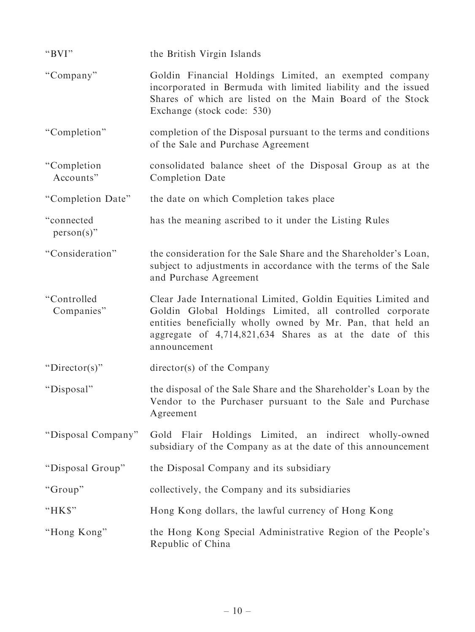| "BVI"                       | the British Virgin Islands                                                                                                                                                                                                                                           |
|-----------------------------|----------------------------------------------------------------------------------------------------------------------------------------------------------------------------------------------------------------------------------------------------------------------|
| "Company"                   | Goldin Financial Holdings Limited, an exempted company<br>incorporated in Bermuda with limited liability and the issued<br>Shares of which are listed on the Main Board of the Stock<br>Exchange (stock code: 530)                                                   |
| "Completion"                | completion of the Disposal pursuant to the terms and conditions<br>of the Sale and Purchase Agreement                                                                                                                                                                |
| "Completion"<br>Accounts"   | consolidated balance sheet of the Disposal Group as at the<br>Completion Date                                                                                                                                                                                        |
| "Completion Date"           | the date on which Completion takes place                                                                                                                                                                                                                             |
| "connected<br>$person(s)$ " | has the meaning ascribed to it under the Listing Rules                                                                                                                                                                                                               |
| "Consideration"             | the consideration for the Sale Share and the Shareholder's Loan,<br>subject to adjustments in accordance with the terms of the Sale<br>and Purchase Agreement                                                                                                        |
| "Controlled<br>Companies"   | Clear Jade International Limited, Goldin Equities Limited and<br>Goldin Global Holdings Limited, all controlled corporate<br>entities beneficially wholly owned by Mr. Pan, that held an<br>aggregate of 4,714,821,634 Shares as at the date of this<br>announcement |
| " $Directory$ "             | $\text{directory}(s)$ of the Company                                                                                                                                                                                                                                 |
| "Disposal"                  | the disposal of the Sale Share and the Shareholder's Loan by the<br>Vendor to the Purchaser pursuant to the Sale and Purchase<br>Agreement                                                                                                                           |
| "Disposal Company"          | Gold Flair Holdings Limited, an indirect wholly-owned<br>subsidiary of the Company as at the date of this announcement                                                                                                                                               |
| "Disposal Group"            | the Disposal Company and its subsidiary                                                                                                                                                                                                                              |
| "Group"                     | collectively, the Company and its subsidiaries                                                                                                                                                                                                                       |
| " $HKS$ "                   | Hong Kong dollars, the lawful currency of Hong Kong                                                                                                                                                                                                                  |
| "Hong Kong"                 | the Hong Kong Special Administrative Region of the People's<br>Republic of China                                                                                                                                                                                     |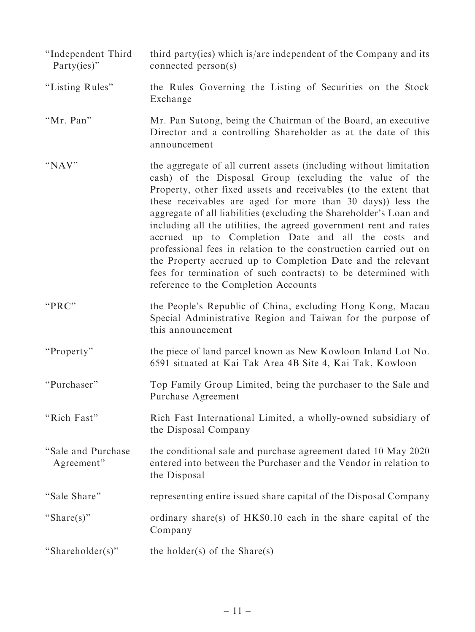- ''Independent Third Party(ies)'' third party(ies) which is/are independent of the Company and its connected person(s)
- ''Listing Rules'' the Rules Governing the Listing of Securities on the Stock Exchange
- ''Mr. Pan'' Mr. Pan Sutong, being the Chairman of the Board, an executive Director and a controlling Shareholder as at the date of this announcement
- "NAV" the aggregate of all current assets (including without limitation cash) of the Disposal Group (excluding the value of the Property, other fixed assets and receivables (to the extent that these receivables are aged for more than 30 days)) less the aggregate of all liabilities (excluding the Shareholder's Loan and including all the utilities, the agreed government rent and rates accrued up to Completion Date and all the costs and professional fees in relation to the construction carried out on the Property accrued up to Completion Date and the relevant fees for termination of such contracts) to be determined with reference to the Completion Accounts
- "PRC" the People's Republic of China, excluding Hong Kong, Macau Special Administrative Region and Taiwan for the purpose of this announcement
- "Property" the piece of land parcel known as New Kowloon Inland Lot No. 6591 situated at Kai Tak Area 4B Site 4, Kai Tak, Kowloon
- ''Purchaser'' Top Family Group Limited, being the purchaser to the Sale and Purchase Agreement
- "Rich Fast" Rich Fast International Limited, a wholly-owned subsidiary of the Disposal Company
- ''Sale and Purchase Agreement'' the conditional sale and purchase agreement dated 10 May 2020 entered into between the Purchaser and the Vendor in relation to the Disposal
- ''Sale Share'' representing entire issued share capital of the Disposal Company
- "Share(s)" ordinary share(s) of HK\$0.10 each in the share capital of the Company
- "Shareholder(s)" the holder(s) of the Share(s)